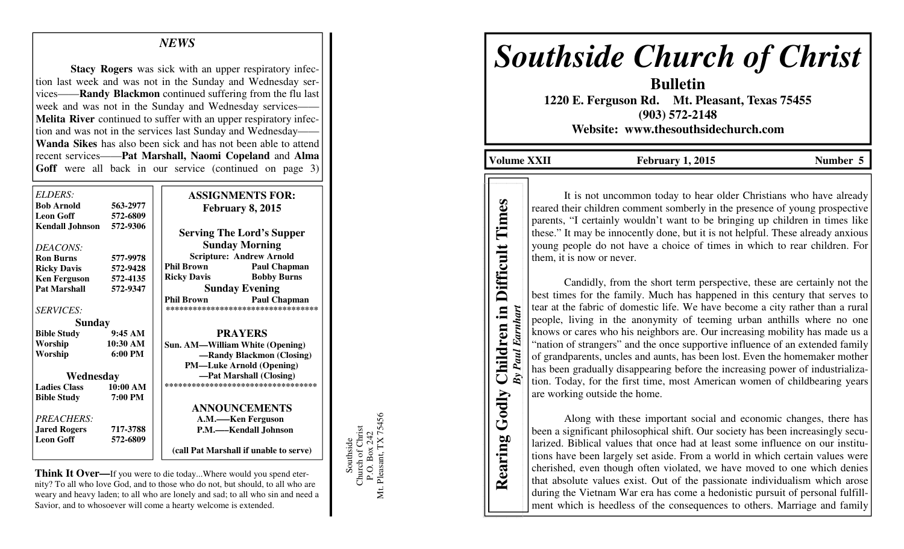## *NEWS*

**Stacy Rogers** was sick with an upper respiratory infection last week and was not in the Sunday and Wednesday services——**Randy Blackmon** continued suffering from the flu last week and was not in the Sunday and Wednesday services- **Melita River** continued to suffer with an upper respiratory infection and was not in the services last Sunday and Wednesday—— **Wanda Sikes** has also been sick and has not been able to attend recent services——**Pat Marshall, Naomi Copeland** and **Alma** Goff were all back in our service (continued on page 3)

| <i>ELDERS:</i>         |                   | <b>ASSIGNMENTS FOR:</b>                  |
|------------------------|-------------------|------------------------------------------|
| <b>Bob Arnold</b>      | 563-2977          | February 8, 2015                         |
| <b>Leon Goff</b>       | 572-6809          |                                          |
| <b>Kendall Johnson</b> | 572-9306          | <b>Serving The Lord's Supper</b>         |
| DEACONS:               |                   | <b>Sunday Morning</b>                    |
|                        |                   | <b>Scripture: Andrew Arnold</b>          |
| <b>Ron Burns</b>       | 577-9978          | <b>Phil Brown</b>                        |
| <b>Ricky Davis</b>     | 572-9428          | <b>Paul Chapman</b>                      |
| <b>Ken Ferguson</b>    | 572-4135          | <b>Bobby Burns</b><br><b>Ricky Davis</b> |
| <b>Pat Marshall</b>    | 572-9347          | <b>Sunday Evening</b>                    |
|                        |                   | <b>Phil Brown</b><br><b>Paul Chapman</b> |
| <b>SERVICES:</b>       |                   | **********************************       |
| Sunday                 |                   |                                          |
| <b>Bible Study</b>     | 9:45AM            | <b>PRAYERS</b>                           |
| Worship                | 10:30 AM          | <b>Sun. AM—William White (Opening)</b>   |
| Worship                | $6:00 \text{ PM}$ | -Randy Blackmon (Closing)                |
|                        |                   | <b>PM—Luke Arnold (Opening)</b>          |
| Wednesday              |                   | -Pat Marshall (Closing)                  |
| <b>Ladies Class</b>    | 10:00 AM          | ***********************************      |
| <b>Bible Study</b>     | 7:00 PM           |                                          |
|                        |                   | <b>ANNOUNCEMENTS</b>                     |
| PREACHERS:             |                   | A.M.—–Ken Ferguson                       |
| <b>Jared Rogers</b>    | 717-3788          | P.M.—Kendall Johnson                     |
| <b>Leon Goff</b>       | 572-6809          |                                          |
|                        |                   | (call Pat Marshall if unable to serve)   |
|                        |                   |                                          |

**Think It Over—**If you were to die today...Where would you spend eternity? To all who love God, and to those who do not, but should, to all who are weary and heavy laden; to all who are lonely and sad; to all who sin and need a Savior, and to whosoever will come a hearty welcome is extended.

Southside<br>Church of Christ<br>P.O. Box 242<br>t. Pleasant, TX 75456 Mt. Pleasant, TX 75456 Church of Christ P.O. Box 242 Μt.

Southside

# *Southside Church of Christ*

**Bulletin 1220 E. Ferguson Rd. Mt. Pleasant, Texas 75455 (903) 572-2148 Website: www.thesouthsidechurch.com** 

Volume XXII February 1, 2015 **Number 5** 

**Rearing Godly Children in Difficult Times**  *By Paul Earnhart* 

Children in **By Paul Earnhart** 

Godly

Rearing

Times

**Difficult** 

It is not uncommon today to hear older Christians who have already reared their children comment somberly in the presence of young prospective parents, "I certainly wouldn't want to be bringing up children in times like these." It may be innocently done, but it is not helpful. These already anxious young people do not have a choice of times in which to rear children. For them, it is now or never.

 Candidly, from the short term perspective, these are certainly not the best times for the family. Much has happened in this century that serves to tear at the fabric of domestic life. We have become a city rather than a rural people, living in the anonymity of teeming urban anthills where no one knows or cares who his neighbors are. Our increasing mobility has made us a "nation of strangers" and the once supportive influence of an extended family of grandparents, uncles and aunts, has been lost. Even the homemaker mother has been gradually disappearing before the increasing power of industrialization. Today, for the first time, most American women of childbearing years are working outside the home.

 Along with these important social and economic changes, there has been a significant philosophical shift. Our society has been increasingly secularized. Biblical values that once had at least some influence on our institutions have been largely set aside. From a world in which certain values were cherished, even though often violated, we have moved to one which denies that absolute values exist. Out of the passionate individualism which arose during the Vietnam War era has come a hedonistic pursuit of personal fulfillment which is heedless of the consequences to others. Marriage and family